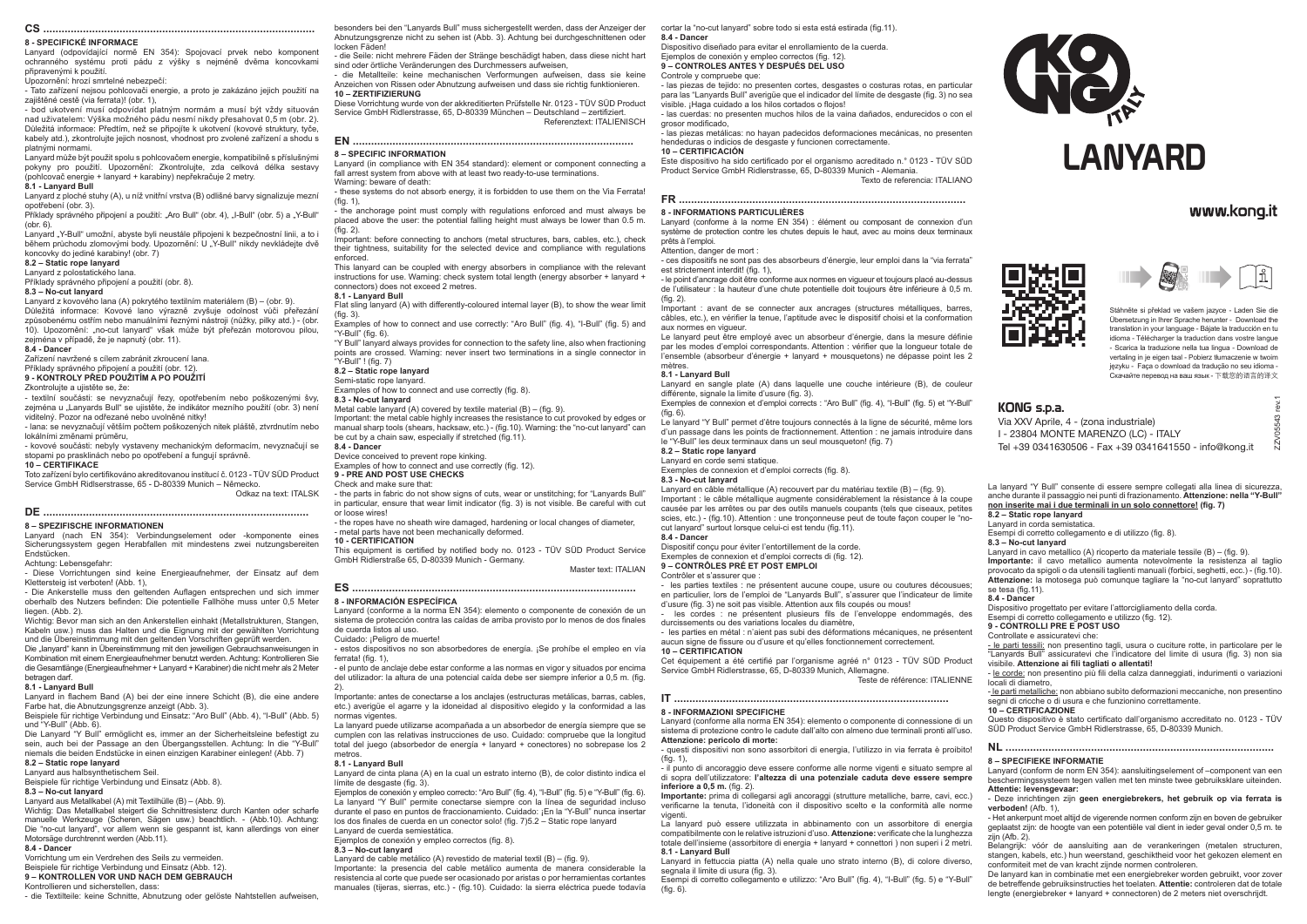# **CS .........................................................................................**

# **8 - SPECIFICKÉ INFORMACE**

Lanyard (odpovídající normě EN 354): Spojovací prvek nebo komponent ochranného systému proti pádu z výšky s nejméně dvěma koncovkami připravenými k použití.

Upozornění: hrozí smrtelné nebezpečí:

- Tato zařízení nejsou pohlcovači energie, a proto je zakázáno jejich použití na zajištěné cestě (via ferrata)! (obr. 1),

- bod ukotvení musí odpovídat platným normám a musí být vždy situován nad uživatelem: Výška možného pádu nesmí nikdy přesahovat 0,5 m (obr. 2). Důležitá informace: Předtím, než se připojíte k ukotvení (kovové struktury, tyče, kabely atd.), zkontrolujte jejich nosnost, vhodnost pro zvolené zařízení a shodu s platnými normami.

Příklady správného připojení a použití: "Aro Bull" (obr. 4), "I-Bull" (obr. 5) a "Y-Bull" (obr. 6).

Lanyard může být použit spolu s pohlcovačem energie, kompatibilně s příslušnými pokyny pro použití. Upozornění: Zkontrolujte, zda celková délka sestavy (pohlcovač energie + lanyard + karabiny) nepřekračuje 2 metry.

### **8.1 - Lanyard Bull**

Lanyard z ploché stuhy (A), u níž vnitřní vrstva (B) odlišné barvy signalizuje mezní opotřebení (obr. 3).

Lanyard "Y-Bull" umožní, abyste byli neustále připojeni k bezpečnostní linii, a to i během průchodu zlomovými body. Upozornění: U .Y-Bull" nikdy nevkládejte dvě koncovky do jediné karabiny! (obr. 7)

### **8.2 – Static rope lanyard**

Lanyard z polostatického lana.

Příklady správného připojení a použití (obr. 8).

# **8.3 – No-cut lanyard**

- Die Ankerstelle muss den geltenden Auflagen entsprechen und sich immer oberhalb des Nutzers befinden: Die potentielle Fallhöhe muss unter 0,5 Meter liegen. (Abb. 2).

Lanyard z kovového lana (A) pokrytého textilním materiálem (B) – (obr. 9). Důležitá informace: Kovové lano výrazně zvyšuje odolnost vůči přeřezání způsobenému ostřím nebo manuálními řeznými nástroji (nůžky, pilky atd.) - (obr. 10). Upozornění: "no-cut lanyard" však může být přeřezán motorovou pilou, zejména v případě, že je napnutý (obr. 11).

Die "lanyard" kann in Übereinstimmung mit den jeweiligen Gebrauchsanweisungen in Kombination mit einem Energieaufnehmer benutzt werden. Achtung: Kontrollieren Sie die Gesamtlänge (Energieaufnehmer + Lanyard + Karabiner) die nicht mehr als 2 Meter betragen darf.

### **8.4 - Dancer**

Zařízení navržené s cílem zabránit zkroucení lana.

Příklady správného připojení a použití (obr. 12). **9 - KONTROLY PŘED POUŽITÍM A PO POUŽITÍ**

Zkontrolujte a ujistěte se, že:

- textilní součásti: se nevyznačují řezy, opotřebením nebo poškozenými švy, zejména u "Lanyards Bull" se ujistěte, že indikátor mezního použití (obr. 3) není viditelný. Pozor na odřezané nebo uvolněné nitky!

- lana: se nevyznačují větším počtem poškozených nitek pláště, ztvrdnutím nebo lokálními změnami průměru,

- kovové součásti: nebyly vystaveny mechanickým deformacím, nevyznačují se stopami po prasklinách nebo po opotřebení a fungují správně.

### **10 – CERTIFIKACE**

Toto zařízení bylo certifikováno akreditovanou institucí č. 0123 - TÜV SÜD Product Service GmbH Ridlserstrasse, 65 - D-80339 Munich – Německo. Odkaz na text: ITALSK

### **DE ....................................................................................... 8 – SPEZIFISCHE INFORMATIONEN**

Lanyard (nach EN 354): Verbindungselement oder -komponente eines Sicherungssystem gegen Herabfallen mit mindestens zwei nutzungsbereiten Endstücken.

Lanyard (in compliance with EN 354 standard): element or component connecting a fall arrest system from above with at least two ready-to-use terminations. Warning: beware of death:

Achtung: Lebensgefahr:

- these systems do not absorb energy, it is forbidden to use them on the Via Ferrata!  $(fin 1)$ 

- Diese Vorrichtungen sind keine Energieaufnehmer, der Einsatz auf dem Klettersteig ist verboten! (Abb. 1),

Wichtig: Bevor man sich an den Ankerstellen einhakt (Metallstrukturen, Stangen, Kabeln usw.) muss das Halten und die Eignung mit der gewählten Vorrichtung und die Übereinstimmung mit den geltenden Vorschriften geprüft werden.

Examples of how to connect and use correctly: "Aro Bull" (fig. 4), "I-Bull" (fig. 5) and "Y-Bull" (fig. 6).

Metal cable lanyard (A) covered by textile material  $(B) - f$  (fig. 9). Important: the metal cable highly increases the resistance to cut provoked by edges or

### **8.1 - Lanyard Bull**

Lanyard in flachem Band (A) bei der eine innere Schicht (B), die eine andere Farbe hat, die Abnutzungsgrenze anzeigt (Abb. 3).

Beispiele für richtige Verbindung und Einsatz: "Aro Bull" (Abb. 4), "I-Bull" (Abb. 5) und "Y-Bull" (Abb. 6).

Die Lanyard "Y Bull" ermöglicht es, immer an der Sicherheitsleine befestigt zu sein, auch bei der Passage an den Übergangsstellen. Achtung: In die "Y-Bull" niemals die beiden Endstücke in einen einzigen Karabiner einlegen! (Abb. 7)

### **8.2 – Static rope lanyard**

- estos dispositivos no son absorbedores de energía. ¡Se prohíbe el empleo en vía ferrata! (fig. 1)

- el punto de anclaje debe estar conforme a las normas en vigor y situados por encima del utilizador: la altura de una potencial caída debe ser siempre inferior a 0,5 m. (fig.  $2)$ 

Lanyard aus halbsynthetischem Seil. Beispiele für richtige Verbindung und Einsatz (Abb. 8).

## **8.3 – No-cut lanyard**

Lanyard aus Metallkabel (A) mit Textilhülle (B) – (Abb. 9).

Wichtig: Das Metallkabel steigert die Schnittresistenz durch Kanten oder scharfe manuelle Werkzeuge (Scheren, Sägen usw.) beachtlich. - (Abb.10). Achtung: Die "no-cut lanyard", vor allem wenn sie gespannt ist, kann allerdings von einer Motorsäge durchtrennt werden (Abb.11).

Lanyard de cinta plana (A) en la cual un estrato interno (B), de color distinto indica el límite de desgaste (fig. 3).

### **8.4 - Dancer**

Vorrichtung um ein Verdrehen des Seils zu vermeiden.

Beispiele für richtige Verbindung und Einsatz (Abb. 12).

## **9 – KONTROLLEN VOR UND NACH DEM GEBRAUCH**

Kontrollieren und sicherstellen, dass:

- die Textilteile: keine Schnitte, Abnutzung oder gelöste Nahtstellen aufweisen,

besonders bei den "Lanyards Bull" muss sichergestellt werden, dass der Anzeiger der Abnutzungsgrenze nicht zu sehen ist (Abb. 3). Achtung bei durchgeschnittenen oder locken Fäden!

- die Seile: nicht mehrere Fäden der Stränge beschädigt haben, dass diese nicht hart sind oder örtliche Veränderungen des Durchmessers aufweisen,

- die Metallteile: keine mechanischen Verformungen aufweisen, dass sie keine Anzeichen von Rissen oder Abnutzung aufweisen und dass sie richtig funktionieren. **10 – ZERTIFIZIERUNG**

Diese Vorrichtung wurde von der akkreditierten Prüfstelle Nr. 0123 - TÜV SÜD Product Service GmbH Ridlerstrasse, 65, D-80339 München – Deutschland – zertifiziert.

# **EN ............................................................................................**

# **8 – SPECIFIC INFORMATION**

- the anchorage point must comply with regulations enforced and must always be placed above the user: the potential falling height must always be lower than 0.5 m. (fig. 2).

Important: before connecting to anchors (metal structures, bars, cables, etc.), check their tightness, suitability for the selected device and compliance with regulations enforced.

> Lanyard en câble métallique (A) recouvert par du matériau textile (B) – (fig. 9). Important : le câble métallique augmente considérablement la résistance à la coupe causée par les arrêtes ou par des outils manuels coupants (tels que ciseaux, petites scies, etc.) - (fig.10). Attention : une tronconneuse peut de toute façon couper le "no-

This lanyard can be coupled with energy absorbers in compliance with the relevant instructions for use. Warning: check system total length (energy absorber + lanyard + connectors) does not exceed 2 metres.

### **8.1 - Lanyard Bull**

Flat sling lanyard (A) with differently-coloured internal layer (B), to show the wear limit (fig. 3).

"Y Bull" lanyard always provides for connection to the safety line, also when fractioning points are crossed. Warning: never insert two terminations in a single connector in "Y-Bull" ! (fig. 7)

**8.2 – Static rope lanyard**

Semi-static rope lanyard.

Examples of how to connect and use correctly (fig. 8).

### **8.3 - No-cut lanyard**

manual sharp tools (shears, hacksaw, etc.) - (fig.10). Warning: the "no-cut lanyard" can be cut by a chain saw, especially if stretched (fig.11). **8.4 - Dancer**

Device conceived to prevent rope kinking.

Examples of how to connect and use correctly (fig. 12).

**9 - PRE AND POST USE CHECKS**

### Check and make sure that:

- the parts in fabric do not show signs of cuts, wear or unstitching; for "Lanyards Bull" in particular, ensure that wear limit indicator (fig. 3) is not visible. Be careful with cut or loose wires!

- the ropes have no sheath wire damaged, hardening or local changes of diameter,

**Importante:** il cavo metallico aumenta notevolmente la resistenza al taglio provocato da spigoli o da utensili taglienti manuali (forbici, seghetti, ecc.) - (fig.10). **Attenzione:** la motosega può comunque tagliare la "no-cut lanyard" soprattutto se tesa (fig. 11).

- metal parts have not been mechanically deformed.

**10 - CERTIFICATION**

This equipment is certified by notified body no. 0123 - TÜV SÜD Product Service GmbH Ridlerstraße 65, D-80339 Munich - Germany.

Master text: ITALIAN

**ES .............................................................................................**

Referenztext: ITALIENISCH - las cuerdas: no presenten muchos hilos de la vaina dañados, endurecidos o con el grosor modificado, - las piezas metálicas: no hayan padecidos deformaciones mecánicas, no presenten

# **8 - INFORMACIÓN ESPECÍFICA**

- le parti metalliche: non abbiano subìto deformazioni meccaniche, non presentino segni di cricche o di usura e che funzionino correttamente.

Lanyard (conforme a la norma EN 354): elemento o componente de conexión de un sistema de protección contra las caídas de arriba provisto por lo menos de dos finales de cuerda listos al uso.

Cuidado: ¡Peligro de muerte!

Importante: antes de conectarse a los anclajes (estructuras metálicas, barras, cables, etc.) averigüe el agarre y la idoneidad al dispositivo elegido y la conformidad a las normas vigentes.

La lanyard puede utilizarse acompañada a un absorbedor de energía siempre que se cumplen con las relativas instrucciones de uso. Cuidado: compruebe que la longitud total del juego (absorbedor de energía + lanyard + conectores) no sobrepase los 2 metros.

### **8.1 - Lanyard Bull**

Ejemplos de conexión y empleo correcto: "Aro Bull" (fig. 4), "I-Bull" (fig. 5) e "Y-Bull" (fig. 6). La lanyard "Y Bull" permite conectarse siempre con la línea de seguridad incluso durante el paso en puntos de fraccionamiento. Cuidado: ¡En la "Y-Bull" nunca insertar los dos finales de cuerda en un conector solo! (fig. 7)5.2 – Static rope lanyard

Lanyard de cuerda semiestática.

Ejemplos de conexión y empleo correctos (fig. 8).

### **8.3 – No-cut lanyard**

Lanyard de cable metálico (A) revestido de material textil (B) – (fig. 9).

Importante: la presencia del cable metálico aumenta de manera considerable la resistencia al corte que puede ser ocasionado por aristas o por herramientas cortantes manuales (tijeras, sierras, etc.) - (fig.10). Cuidado: la sierra eléctrica puede todavía cortar la "no-cut lanyard" sobre todo si esta está estirada (fig.11). **8.4 - Dancer**

Dispositivo diseñado para evitar el enrollamiento de la cuerda. Ejemplos de conexión y empleo correctos (fig. 12).

**9 – CONTROLES ANTES Y DESPUÉS DEL USO**

Controle y compruebe que:

- las piezas de tejido: no presenten cortes, desgastes o costuras rotas, en particular para las "Lanyards Bull" averigüe que el indicador del límite de desgaste (fig. 3) no sea

visible. ¡Haga cuidado a los hilos cortados o flojos!

hendeduras o indicios de desgaste y funcionen correctamente.

**10 – CERTIFICACIÓN**

Este dispositivo ha sido certificado por el organismo acreditado n.° 0123 - TÜV SÜD

Product Service GmbH Ridlerstrasse, 65, D-80339 Munich - Alemania.

Texto de referencia: ITALIANO

**FR ..............................................................................................**

**8 - INFORMATIONS PARTICULIÈRES**

Lanyard (conforme à la norme EN 354) : élément ou composant de connexion d'un système de protection contre les chutes depuis le haut, avec au moins deux terminaux

prêts à l'emploi.

Attention, danger de mort :

- ces dispositifs ne sont pas des absorbeurs d'énergie, leur emploi dans la "via ferrata"

est strictement interdit! (fig. 1),

- le point d'ancrage doit être conforme aux normes en vigueur et toujours placé au-dessus de l'utilisateur : la hauteur d'une chute potentielle doit toujours être inférieure à 0,5 m.

(fig. 2).

Important : avant de se connecter aux ancrages (structures métalliques, barres, câbles, etc.), en vérifier la tenue, l'aptitude avec le dispositif choisi et la conformation

aux normes en vigueur.

Le lanyard peut être employé avec un absorbeur d'énergie, dans la mesure définie par les modes d'emploi correspondants. Attention : vérifier que la longueur totale de l'ensemble (absorbeur d'énergie + lanyard + mousquetons) ne dépasse point les 2

mètres.

**8.1 - Lanyard Bull**

Lanyard en sangle plate (A) dans laquelle une couche intérieure (B), de couleur

différente, signale la limite d'usure (fig. 3).



Exemples de connexion et d'emploi corrects : "Aro Bull" (fig. 4), "I-Bull" (fig. 5) et "Y-Bull"

(fig. 6).

Le lanyard "Y Bull" permet d'être toujours connectés à la ligne de sécurité, même lors d'un passage dans les points de fractionnement. Attention : ne jamais introduire dans

le "Y-Bull" les deux terminaux dans un seul mousqueton! (fig. 7)

**8.2 – Static rope lanyard** Lanyard en corde semi statique.

Contrôler et s'assurer que

Exemples de connexion et d'emploi corrects (fig. 8).

cut lanyard" surtout lorsque celui-ci est tendu (fig.11).

**8.3 - No-cut lanyard**

**8.4 - Dancer**

Dispositif conçu pour éviter l'entortillement de la corde. Exemples de connexion et d'emploi corrects di (fig. 12).

**9 – CONTRÔLES PRÉ ET POST EMPLOI**

- les parties textiles : ne présentent aucune coupe, usure ou coutures décousues; en particulier, lors de l'emploi de "Lanyards Bull", s'assurer que l'indicateur de limite

d'usure (fig. 3) ne soit pas visible. Attention aux fils coupés ou mous!

- les cordes : ne présentent plusieurs fils de l'enveloppe endommagés, des

durcissements ou des variations locales du diamètre,

- les parties en métal : n'aient pas subi des déformations mécaniques, ne présentent

aucun signe de fissure ou d'usure et qu'elles fonctionnement correctement.

**10 – CERTIFICATION**

Cet équipement a été certifié par l'organisme agréé n° 0123 - TÜV SÜD Product

Service GmbH Ridlerstrasse, 65, D-80339 Munich, Allemagne.

Teste de référence: ITALIENNE

**IT ..........................................................................................**

**8 - INFORMAZIONI SPECIFICHE**

Lanyard (conforme alla norma EN 354): elemento o componente di connessione di un sistema di protezione contro le cadute dall'alto con almeno due terminali pronti all'uso.

**Attenzione: pericolo di morte:**

- questi dispositivi non sono assorbitori di energia, l'utilizzo in via ferrata è proibito!

- il punto di ancoraggio deve essere conforme alle norme vigenti e situato sempre al di sopra dell'utilizzatore: **l'altezza di una potenziale caduta deve essere sempre** 

**inferiore a 0,5 m.** (fig. 2).

**Importante:** prima di collegarsi agli ancoraggi (strutture metalliche, barre, cavi, ecc.) verificarne la tenuta, l'idoneità con il dispositivo scelto e la conformità alle norme

vigenti.

 $(fia. 6)$ 

La lanyard può essere utilizzata in abbinamento con un assorbitore di energia compatibilmente con le relative istruzioni d'uso. **Attenzione:** verificate che la lunghezza totale dell'insieme (assorbitore di energia + lanyard + connettori ) non superi i 2 metri.

**8.1 - Lanyard Bull**

Lanyard in fettuccia piatta (A) nella quale uno strato interno (B), di colore diverso,

segnala il limite di usura (fig. 3).

 $(fia. 1)$ .

Esempi di corretto collegamento e utilizzo: "Aro Bull" (fig. 4), "I-Bull" (fig. 5) e "Y-Bull"

La lanyard "Y Bull" consente di essere sempre collegati alla linea di sicurezza, anche durante il passaggio nei punti di frazionamento. **Attenzione: nella "Y-Bull" non inserite mai i due terminali in un solo connettore! (fig. 7)**

**8.2 – Static rope lanyard** Lanyard in corda semistatica.

Esempi di corretto collegamento e di utilizzo (fig. 8).

**8.3 – No-cut lanyard**

Lanyard in cavo metallico (A) ricoperto da materiale tessile (B) – (fig. 9).

**8.4 - Dancer**

Dispositivo progettato per evitare l'attorcigliamento della corda.

Esempi di corretto collegamento e utilizzo (fig. 12).

**9 - CONTROLLI PRE E POST USO**

Controllate e assicuratevi che:

- le parti tessili: non presentino tagli, usura o cuciture rotte, in particolare per le "Lanyards Bull" assicuratevi che l'indicatore del limite di usura (fig. 3) non sia visibile. **Attenzione ai fili tagliati o allentati!**

- le corde: non presentino più fili della calza danneggiati, indurimenti o variazioni locali di diametro,

**10 – CERTIFICAZIONE**

Questo dispositivo è stato certificato dall'organismo accreditato no. 0123 - TÜV SÜD Product Service GmbH Ridlerstrasse, 65, D-80339 Munich.

**NL ........................................................................................ 8 – SPECIFIEKE INFORMATIE**

Lanyard (conform de norm EN 354): aansluitingselement of –component van een beschermingssysteem tegen vallen met ten minste twee gebruiksklare uiteinden. **Attentie: levensgevaar:**

- Deze inrichtingen zijn **geen energiebrekers, het gebruik op via ferrata is verboden!** (Afb. 1),

- Het ankerpunt moet altijd de vigerende normen conform zijn en boven de gebruiker geplaatst zijn: de hoogte van een potentiële val dient in ieder geval onder 0,5 m. te zijn (Afb. 2).

Belangrijk: vóór de aansluiting aan de verankeringen (metalen structuren, stangen, kabels, etc.) hun weerstand, geschiktheid voor het gekozen element en conformiteit met de van kracht zijnde normen controleren.

De lanyard kan in combinatie met een energiebreker worden gebruikt, voor zover de betreffende gebruiksinstructies het toelaten. **Attentie:** controleren dat de totale lengte (energiebreker + lanyard + connectoren) de 2 meters niet overschrijdt.

ZZV05543 rev.1

 $\bar{\circ}$ 



LANYARD

# www.kona.it

# KONG s.p.a.

Via XXV Aprile, 4 - (zona industriale) I - 23804 MONTE MARENZO (LC) - ITALY Tel +39 0341630506 - Fax +39 0341641550 - info@kong.it

Stáhněte si překlad ve vašem jazyce - Laden Sie die Übersetzung in Ihrer Sprache herunter - Download the translation in your language - Bájate la traducción en tu idioma - Télécharger la traduction dans vostre langue - Scarica la traduzione nella tua lingua - Download de vertaling in je eigen taal - Pobierz tłumaczenie w twoim języku - Faça o download da tradução no seu idioma - Скачайте перевод на ваш язык - 下载您的语言的译文